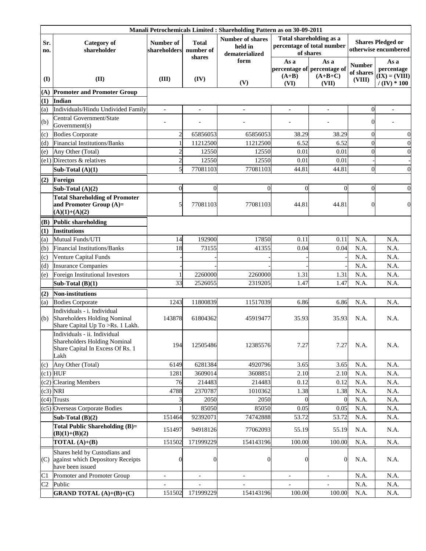|                | Manali Petrochemicals Limited : Shareholding Pattern as on 30-09-2011                                    |                           |                           |                                                      |                          |                                                                    |                                                  |                                       |
|----------------|----------------------------------------------------------------------------------------------------------|---------------------------|---------------------------|------------------------------------------------------|--------------------------|--------------------------------------------------------------------|--------------------------------------------------|---------------------------------------|
| Sr.<br>no.     | <b>Category</b> of<br>shareholder                                                                        | Number of<br>shareholders | <b>Total</b><br>number of | <b>Number of shares</b><br>held in<br>dematerialized |                          | Total shareholding as a<br>percentage of total number<br>of shares | <b>Shares Pledged or</b><br>otherwise encumbered |                                       |
| (I)            | (II)                                                                                                     | (III)                     | shares<br>(IV)            | form                                                 | As a<br>$(A+B)$          | As a<br>percentage of percentage of<br>$(A+B+C)$                   | <b>Number</b><br>of shares<br>(VIII)             | As a<br>percentage<br>$(IX) = (VIII)$ |
|                |                                                                                                          |                           |                           | (V)                                                  | (VI)                     | (VII)                                                              |                                                  | $/$ (IV) * 100                        |
| (A)            | <b>Promoter and Promoter Group</b><br>Indian                                                             |                           |                           |                                                      |                          |                                                                    |                                                  |                                       |
| (1)<br>(a)     | Individuals/Hindu Undivided Family                                                                       | $\blacksquare$            | $\overline{\phantom{a}}$  | $\overline{a}$                                       | $\overline{\phantom{a}}$ | $\overline{\phantom{a}}$                                           | $\overline{0}$                                   |                                       |
|                | Central Government/State                                                                                 |                           |                           |                                                      |                          |                                                                    |                                                  |                                       |
| (b)            | Government(s)                                                                                            |                           |                           |                                                      |                          |                                                                    | 0                                                |                                       |
| (c)            | <b>Bodies Corporate</b>                                                                                  | $\overline{2}$            | 65856053                  | 65856053                                             | 38.29                    | 38.29                                                              | $\Omega$                                         | $\boldsymbol{0}$                      |
| (d)            | Financial Institutions/Banks                                                                             |                           | 11212500                  | 11212500                                             | 6.52                     | 6.52                                                               | $\overline{0}$                                   | $\overline{0}$                        |
| (e)            | Any Other (Total)                                                                                        | $\overline{2}$            | 12550                     | 12550                                                | 0.01                     | 0.01                                                               | $\Omega$                                         | $\overline{0}$                        |
| (e1)           | Directors & relatives                                                                                    | $\overline{c}$            | 12550                     | 12550                                                | 0.01                     | 0.01                                                               |                                                  |                                       |
|                | Sub-Total $(A)(1)$                                                                                       | 5                         | 77081103                  | 77081103                                             | 44.81                    | 44.81                                                              | $\overline{0}$                                   | $\overline{0}$                        |
| (2)            | Foreign                                                                                                  |                           |                           |                                                      |                          |                                                                    |                                                  |                                       |
|                | Sub-Total $(A)(2)$                                                                                       | $\overline{0}$            | $\overline{0}$            | $\overline{0}$                                       | $\overline{0}$           | $\mathbf{0}$                                                       | $\Omega$                                         | $\mathbf{0}$                          |
|                | <b>Total Shareholding of Promoter</b><br>and Promoter Group (A)=                                         | 5                         | 77081103                  | 77081103                                             | 44.81                    | 44.81                                                              | 0                                                | $\overline{0}$                        |
|                | $(A)(1)+(A)(2)$                                                                                          |                           |                           |                                                      |                          |                                                                    |                                                  |                                       |
| (B)            | <b>Public shareholding</b>                                                                               |                           |                           |                                                      |                          |                                                                    |                                                  |                                       |
| (1)            | <b>Institutions</b>                                                                                      |                           |                           |                                                      |                          |                                                                    |                                                  |                                       |
| (a)            | Mutual Funds/UTI                                                                                         | 14                        | 192900                    | 17850                                                | 0.11                     | 0.11                                                               | N.A.                                             | N.A.                                  |
| (b)            | <b>Financial Institutions/Banks</b>                                                                      | 18                        | 73155                     | 41355                                                | 0.04                     | 0.04                                                               | N.A.                                             | N.A.                                  |
| (c)            | Venture Capital Funds                                                                                    |                           |                           |                                                      |                          |                                                                    | N.A.                                             | N.A.                                  |
| (d)            | <b>Insurance Companies</b><br>Foreign Institutional Investors                                            |                           | 2260000                   | 2260000                                              | 1.31                     | 1.31                                                               | N.A.<br>N.A.                                     | N.A.<br>N.A.                          |
| (e)            |                                                                                                          | 33                        | 2526055                   | 2319205                                              | 1.47                     | 1.47                                                               | N.A.                                             | N.A.                                  |
|                | Sub-Total $(B)(1)$                                                                                       |                           |                           |                                                      |                          |                                                                    |                                                  |                                       |
| (2)            | <b>Non-institutions</b>                                                                                  |                           | 11800839                  |                                                      |                          |                                                                    |                                                  |                                       |
| (a)            | <b>Bodies Corporate</b><br>Individuals - i. Individual                                                   | 1243                      |                           | 11517039                                             | 6.86                     | 6.86                                                               | N.A.                                             | N.A.                                  |
| (b)            | <b>Shareholders Holding Nominal</b><br>Share Capital Up To >Rs. 1 Lakh.                                  | 143878                    | 61804362                  | 45919477                                             | 35.93                    | 35.93                                                              | N.A.                                             | N.A.                                  |
|                | Individuals - ii. Individual<br>Shareholders Holding Nominal<br>Share Capital In Excess Of Rs. 1<br>Lakh | 194                       | 12505486                  | 12385576                                             | 7.27                     | 7.27                                                               | N.A.                                             | N.A.                                  |
| (c)            | Any Other (Total)                                                                                        | 6149                      | 6281384                   | 4920796                                              | 3.65                     | 3.65                                                               | N.A.                                             | N.A.                                  |
|                | $(c1)$ HUF                                                                                               | 1281                      | 3609014                   | 3608851                                              | 2.10                     | 2.10                                                               | N.A.                                             | N.A.                                  |
| (c2)           | <b>Clearing Members</b>                                                                                  | 76                        | 214483                    | 214483                                               | 0.12                     | 0.12                                                               | N.A.                                             | N.A.                                  |
| (c3)           | <b>NRI</b>                                                                                               | 4788                      | 2370787                   | 1010362                                              | 1.38                     | 1.38                                                               | N.A.                                             | N.A.                                  |
| (c4)           | <b>Trusts</b>                                                                                            |                           | 2050                      | 2050                                                 | $\theta$                 | $\overline{0}$                                                     | N.A.                                             | N.A.                                  |
| (c5)           | Overseas Corporate Bodies                                                                                |                           | 85050                     | 85050                                                | 0.05                     | 0.05                                                               | N.A.                                             | N.A.                                  |
|                | Sub-Total $(B)(2)$                                                                                       | 151464                    | 92392071                  | 74742888                                             | 53.72                    | 53.72                                                              | N.A.                                             | N.A.                                  |
|                | Total Public Shareholding (B)=<br>$(B)(1)+(B)(2)$                                                        | 151497                    | 94918126                  | 77062093                                             | 55.19                    | 55.19                                                              | N.A.                                             | N.A.                                  |
|                | TOTAL $(A)+(B)$                                                                                          | 151502                    | 171999229                 | 154143196                                            | 100.00                   | 100.00                                                             | N.A.                                             | N.A.                                  |
| (C)            | Shares held by Custodians and<br>against which Depository Receipts<br>have been issued                   | $\overline{0}$            | $\overline{0}$            | $\boldsymbol{0}$                                     | $\overline{0}$           | $\overline{0}$                                                     | N.A.                                             | N.A.                                  |
| C1             | Promoter and Promoter Group                                                                              | $\overline{\phantom{a}}$  |                           | $\overline{\phantom{a}}$                             | $\frac{1}{2}$            |                                                                    | N.A.                                             | N.A.                                  |
| C <sub>2</sub> | Public                                                                                                   |                           |                           |                                                      |                          |                                                                    | N.A.                                             | N.A.                                  |
|                | <b>GRAND TOTAL</b> $(A)+(B)+(C)$                                                                         | 151502                    | 171999229                 | 154143196                                            | 100.00                   | 100.00                                                             | N.A.                                             | N.A.                                  |